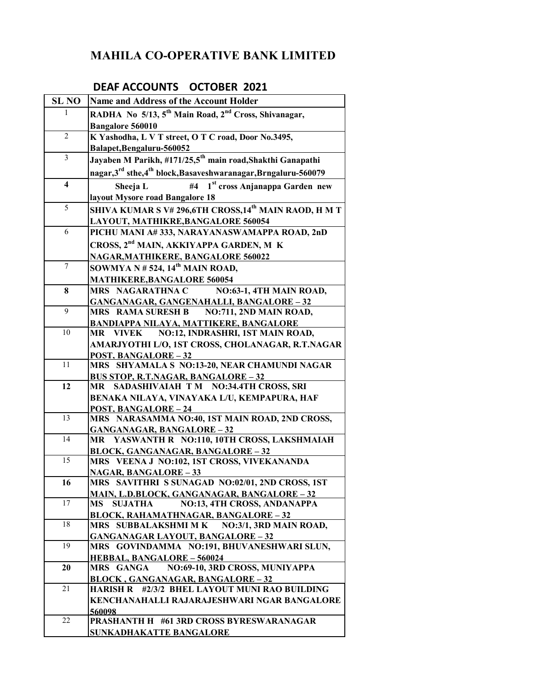## **MAHILA CO-OPERATIVE BANK LIMITED**

## **DEAF ACCOUNTS OCTOBER 2021**

| <b>SL NO</b>            | Name and Address of the Account Holder                                                  |
|-------------------------|-----------------------------------------------------------------------------------------|
| 1                       | RADHA No 5/13, 5 <sup>th</sup> Main Road, 2 <sup>nd</sup> Cross, Shivanagar,            |
|                         | Bangalore 560010                                                                        |
| $\overline{2}$          | K Yashodha, L V T street, O T C road, Door No.3495,                                     |
|                         | Balapet, Bengaluru-560052                                                               |
| $\overline{3}$          | Jayaben M Parikh, #171/25,5 <sup>th</sup> main road, Shakthi Ganapathi                  |
|                         | nagar, 3 <sup>rd</sup> sthe, 4 <sup>th</sup> block, Basaveshwaranagar, Brngaluru-560079 |
| $\overline{\mathbf{4}}$ | 1 <sup>st</sup> cross Anjanappa Garden new<br>#4<br>Sheeja L                            |
|                         | layout Mysore road Bangalore 18                                                         |
| 5                       | SHIVA KUMAR S V# 296,6TH CROSS,14 <sup>th</sup> MAIN RAOD, H M T                        |
|                         | LAYOUT, MATHIKRE, BANGALORE 560054                                                      |
| 6                       | PICHU MANI A#333, NARAYANASWAMAPPA ROAD, 2nD                                            |
|                         | CROSS, 2 <sup>nd</sup> MAIN, AKKIYAPPA GARDEN, M K                                      |
|                         | NAGAR, MATHIKERE, BANGALORE 560022                                                      |
| $\tau$                  | SOWMYA N # 524, $14^{\text{th}}$ MAIN ROAD,                                             |
|                         | <b>MATHIKERE, BANGALORE 560054</b>                                                      |
| 8                       | MRS NAGARATHNA C NO:63-1, 4TH MAIN ROAD,                                                |
|                         | <b>GANGANAGAR, GANGENAHALLI, BANGALORE - 32</b>                                         |
| $\overline{9}$          | NO:711, 2ND MAIN ROAD,<br><b>MRS RAMA SURESH B</b>                                      |
|                         | <b>BANDIAPPA NILAYA, MATTIKERE, BANGALORE</b>                                           |
| 10                      | NO:12, INDRASHRI, 1ST MAIN ROAD,<br><b>MR</b> VIVEK                                     |
|                         | AMARJYOTHI L/O, 1ST CROSS, CHOLANAGAR, R.T.NAGAR                                        |
|                         | <b>POST, BANGALORE - 32</b>                                                             |
| 11                      | MRS SHYAMALA S NO:13-20, NEAR CHAMUNDI NAGAR                                            |
|                         | <b>BUS STOP, R.T.NAGAR, BANGALORE - 32</b>                                              |
| 12                      | SADASHIVAIAH TM NO:34.4TH CROSS, SRI<br>MR                                              |
|                         | BENAKA NILAYA, VINAYAKA L/U, KEMPAPURA, HAF                                             |
|                         | <b>POST, BANGALORE - 24</b>                                                             |
| 13                      | MRS NARASAMMA NO:40, 1ST MAIN ROAD, 2ND CROSS,                                          |
| 14                      | <b>GANGANAGAR, BANGALORE-32</b><br>MR YASWANTH R NO:110, 10TH CROSS, LAKSHMAIAH         |
|                         | <b>BLOCK, GANGANAGAR, BANGALORE - 32</b>                                                |
| 15                      | MRS VEENA J NO:102, 1ST CROSS, VIVEKANANDA                                              |
|                         | <b>NAGAR, BANGALORE - 33</b>                                                            |
| 16                      | MRS SAVITHRI S SUNAGAD NO:02/01, 2ND CROSS, 1ST                                         |
|                         | MAIN, L.D.BLOCK, GANGANAGAR, BANGALORE - 32                                             |
| 17                      | NO:13, 4TH CROSS, ANDANAPPA<br><b>SUJATHA</b><br><b>MS</b>                              |
|                         | <b>BLOCK, RAHAMATHNAGAR, BANGALORE - 32</b>                                             |
| 18                      | MRS SUBBALAKSHMI M K NO:3/1, 3RD MAIN ROAD,                                             |
|                         | <b>GANGANAGAR LAYOUT, BANGALORE - 32</b>                                                |
| 19                      | MRS GOVINDAMMA NO:191, BHUVANESHWARI SLUN,                                              |
|                         | <b>HEBBAL, BANGALORE - 560024</b>                                                       |
| 20                      | NO:69-10, 3RD CROSS, MUNIYAPPA<br><b>MRS GANGA</b>                                      |
| 21                      | <b>BLOCK, GANGANAGAR, BANGALORE-32</b><br>HARISH R #2/3/2 BHEL LAYOUT MUNI RAO BUILDING |
|                         | KENCHANAHALLI RAJARAJESHWARI NGAR BANGALORE                                             |
|                         | 560098                                                                                  |
| 22                      | <b>PRASHANTH H #61 3RD CROSS BYRESWARANAGAR</b>                                         |
|                         | <b>SUNKADHAKATTE BANGALORE</b>                                                          |